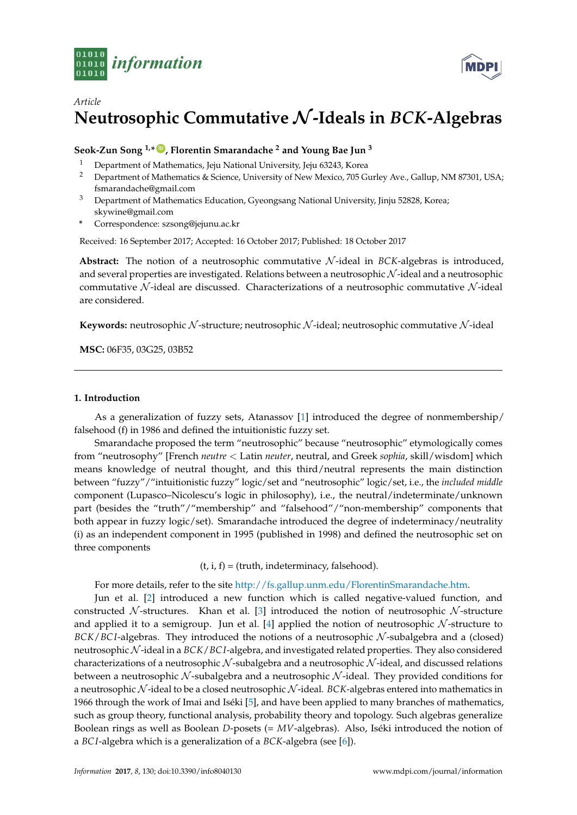

# *Article* **Neutrosophic Commutative** N**-Ideals in** *BCK***-Algebras**

**Seok-Zun Song 1,\* [ID](https://orcid.org/0000-0002-2383-664X) , Florentin Smarandache <sup>2</sup> and Young Bae Jun <sup>3</sup>**

- <sup>1</sup> Department of Mathematics, Jeju National University, Jeju 63243, Korea<sup>2</sup> Department of Mathematics & Science University of New Mexico  $705$  G
- <sup>2</sup> Department of Mathematics & Science, University of New Mexico, 705 Gurley Ave., Gallup, NM 87301, USA; fsmarandache@gmail.com
- <sup>3</sup> Department of Mathematics Education, Gyeongsang National University, Jinju 52828, Korea; skywine@gmail.com
- **\*** Correspondence: szsong@jejunu.ac.kr

Received: 16 September 2017; Accepted: 16 October 2017; Published: 18 October 2017

**Abstract:** The notion of a neutrosophic commutative  $N$ -ideal in *BCK*-algebras is introduced, and several properties are investigated. Relations between a neutrosophic N -ideal and a neutrosophic commutative  $\mathcal N$ -ideal are discussed. Characterizations of a neutrosophic commutative  $\mathcal N$ -ideal are considered.

**Keywords:** neutrosophic N-structure; neutrosophic N-ideal; neutrosophic commutative N-ideal

**MSC:** 06F35, 03G25, 03B52

#### **1. Introduction**

As a generalization of fuzzy sets, Atanassov [\[1\]](#page-8-0) introduced the degree of nonmembership/ falsehood (f) in 1986 and defined the intuitionistic fuzzy set.

Smarandache proposed the term "neutrosophic" because "neutrosophic" etymologically comes from "neutrosophy" [French *neutre* < Latin *neuter*, neutral, and Greek *sophia*, skill/wisdom] which means knowledge of neutral thought, and this third/neutral represents the main distinction between "fuzzy"/"intuitionistic fuzzy" logic/set and "neutrosophic" logic/set, i.e., the *included middle* component (Lupasco–Nicolescu's logic in philosophy), i.e., the neutral/indeterminate/unknown part (besides the "truth"/"membership" and "falsehood"/"non-membership" components that both appear in fuzzy logic/set). Smarandache introduced the degree of indeterminacy/neutrality (i) as an independent component in 1995 (published in 1998) and defined the neutrosophic set on three components

 $(t, i, f) = (truth, indeterminacy, falsehood).$ 

For more details, refer to the site [http://fs.gallup.unm.edu/FlorentinSmarandache.htm.](http://fs.gallup.unm.edu/FlorentinSmarandache.htm)

Jun et al. [\[2\]](#page-8-1) introduced a new function which is called negative-valued function, and constructed  $\mathcal N$ -structures. Khan et al. [\[3\]](#page-8-2) introduced the notion of neutrosophic  $\mathcal N$ -structure and applied it to a semigroup. Jun et al.  $[4]$  applied the notion of neutrosophic N-structure to *BCK*/*BCI*-algebras. They introduced the notions of a neutrosophic  $N$ -subalgebra and a (closed) neutrosophic N -ideal in a *BCK*/*BC I*-algebra, and investigated related properties. They also considered characterizations of a neutrosophic  $N$ -subalgebra and a neutrosophic  $N$ -ideal, and discussed relations between a neutrosophic  $N$ -subalgebra and a neutrosophic  $N$ -ideal. They provided conditions for a neutrosophic N -ideal to be a closed neutrosophic N -ideal. *BCK*-algebras entered into mathematics in 1966 through the work of Imai and Iséki [\[5\]](#page-8-4), and have been applied to many branches of mathematics, such as group theory, functional analysis, probability theory and topology. Such algebras generalize Boolean rings as well as Boolean *D*-posets (= *MV*-algebras). Also, Iséki introduced the notion of a *BC I*-algebra which is a generalization of a *BCK*-algebra (see [\[6\]](#page-8-5)).

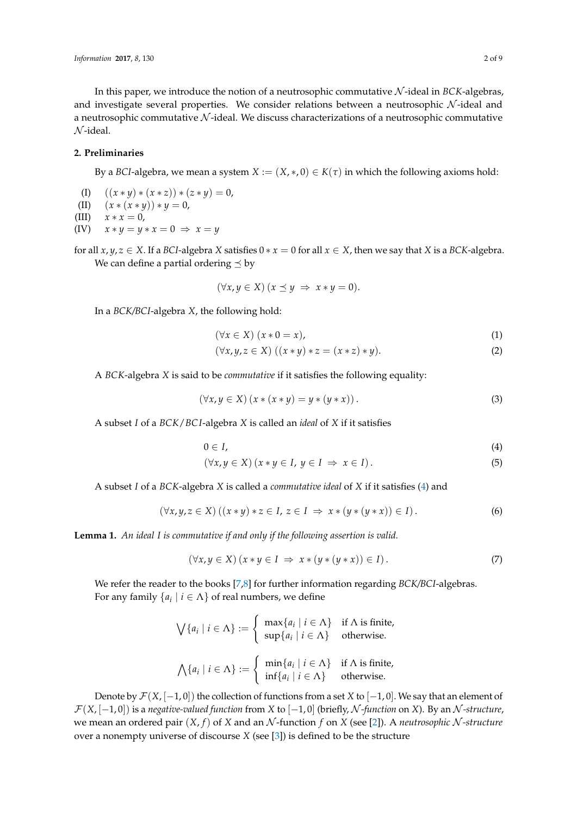In this paper, we introduce the notion of a neutrosophic commutative N -ideal in *BCK*-algebras, and investigate several properties. We consider relations between a neutrosophic  $N$ -ideal and a neutrosophic commutative  $N$ -ideal. We discuss characterizations of a neutrosophic commutative  $\mathcal{N}$ -ideal.

## **2. Preliminaries**

By a *BCI*-algebra, we mean a system  $X := (X, *, 0) \in K(\tau)$  in which the following axioms hold:

- (I)  $((x * y) * (x * z)) * (z * y) = 0,$
- (II)  $(x * (x * y)) * y = 0,$

(III)  $x * x = 0$ ,

 $(XY)$   $x * y = y * x = 0 \Rightarrow x = y$ 

for all  $x, y, z \in X$ . If a *BCI*-algebra *X* satisfies  $0 * x = 0$  for all  $x \in X$ , then we say that *X* is a *BCK*-algebra. We can define a partial ordering  $\leq$  by

$$
(\forall x, y \in X) (x \preceq y \Rightarrow x * y = 0).
$$

In a *BCK/BCI*-algebra *X*, the following hold:

<span id="page-1-1"></span>
$$
(\forall x \in X) (x * 0 = x), \tag{1}
$$

$$
(\forall x, y, z \in X) ((x * y) * z = (x * z) * y).
$$
 (2)

A *BCK*-algebra *X* is said to be *commutative* if it satisfies the following equality:

$$
(\forall x, y \in X) (x * (x * y) = y * (y * x)). \tag{3}
$$

A subset *I* of a *BCK*/*BC I*-algebra *X* is called an *ideal* of *X* if it satisfies

<span id="page-1-0"></span>
$$
0\in I,\tag{4}
$$

$$
(\forall x, y \in X) (x * y \in I, y \in I \Rightarrow x \in I).
$$
 (5)

A subset *I* of a *BCK*-algebra *X* is called a *commutative ideal* of *X* if it satisfies [\(4\)](#page-1-0) and

$$
(\forall x, y, z \in X) ((x * y) * z \in I, z \in I \Rightarrow x * (y * (y * x)) \in I).
$$
\n
$$
(6)
$$

<span id="page-1-2"></span>**Lemma 1.** *An ideal I is commutative if and only if the following assertion is valid.*

$$
(\forall x, y \in X) (x * y \in I \Rightarrow x * (y * (y * x)) \in I).
$$
\n
$$
(7)
$$

We refer the reader to the books [\[7,](#page-8-6)[8\]](#page-8-7) for further information regarding *BCK/BCI*-algebras. For any family  $\{a_i \mid i \in \Lambda\}$  of real numbers, we define

$$
\bigvee \{a_i \mid i \in \Lambda\} := \begin{cases} \max\{a_i \mid i \in \Lambda\} & \text{if } \Lambda \text{ is finite,} \\ \sup\{a_i \mid i \in \Lambda\} & \text{otherwise.} \end{cases}
$$

$$
\bigwedge \{a_i \mid i \in \Lambda\} := \begin{cases} \min\{a_i \mid i \in \Lambda\} & \text{if } \Lambda \text{ is finite,} \\ \inf\{a_i \mid i \in \Lambda\} & \text{otherwise.} \end{cases}
$$

Denote by F(*X*, [−1, 0]) the collection of functions from a set *X* to [−1, 0]. We say that an element of F(*X*, [−1, 0]) is a *negative-valued function* from *X* to [−1, 0] (briefly, N *-function* on *X*). By an N *-structure*, we mean an ordered pair (*X*, *f*) of *X* and an N -function *f* on *X* (see [\[2\]](#page-8-1)). A *neutrosophic* N *-structure* over a nonempty universe of discourse *X* (see [\[3\]](#page-8-2)) is defined to be the structure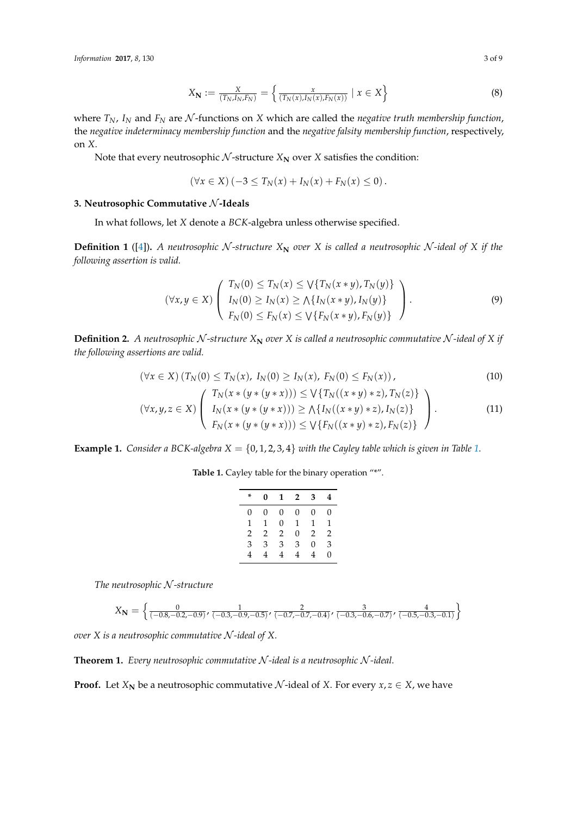$$
X_{\mathbf{N}} := \frac{X}{(T_N, I_N, F_N)} = \left\{ \frac{x}{(T_N(x), I_N(x), F_N(x))} \mid x \in X \right\}
$$
(8)

where  $T_N$ ,  $I_N$  and  $F_N$  are N-functions on X which are called the *negative truth membership function*, the *negative indeterminacy membership function* and the *negative falsity membership function*, respectively, on *X*.

Note that every neutrosophic  $N$ -structure  $X_N$  over  $X$  satisfies the condition:

$$
(\forall x \in X) (-3 \leq T_N(x) + I_N(x) + F_N(x) \leq 0).
$$

### **3. Neutrosophic Commutative** N **-Ideals**

In what follows, let *X* denote a *BCK*-algebra unless otherwise specified.

**Definition 1** ([\[4\]](#page-8-3)). A neutrosophic N-structure  $X_N$  over X is called a neutrosophic N-ideal of X if the *following assertion is valid.*

$$
(\forall x, y \in X) \left( \begin{array}{c} T_N(0) \le T_N(x) \le \sqrt{T_N(x \ast y)}, T_N(y) \\ I_N(0) \ge I_N(x) \ge \sqrt{T_N(x \ast y)}, I_N(y) \\ F_N(0) \le F_N(x) \le \sqrt{T_N(x \ast y)}, F_N(y) \end{array} \right). \tag{9}
$$

**Definition 2.** A neutrosophic N-structure  $X_N$  over  $X$  is called a neutrosophic commutative N-ideal of  $X$  if *the following assertions are valid.*

$$
(\forall x \in X) (T_N(0) \le T_N(x), I_N(0) \ge I_N(x), F_N(0) \le F_N(x)), \qquad (10)
$$

$$
(\forall x, y, z \in X) \left( \begin{array}{c} T_N(x * (y * (y * x))) \leq \sqrt{T_N((x * y) * z)}, T_N(z) \\ I_N(x * (y * (y * x))) \geq \sqrt{T_N((x * y) * z)}, I_N(z) \\ F_N(x * (y * (y * x))) \leq \sqrt{T_N((x * y) * z)}, F_N(z) \end{array} \right). \tag{11}
$$

<span id="page-2-0"></span>**Example [1.](#page-2-0)** *Consider a BCK-algebra*  $X = \{0, 1, 2, 3, 4\}$  *with the Cayley table which is given in Table* 1.

Table 1. Cayley table for the binary operation "\*".

<span id="page-2-3"></span><span id="page-2-1"></span>

| * | 0 | 1              | $\mathbf{2}$ | 3 | 4              |
|---|---|----------------|--------------|---|----------------|
| 0 | 0 | 0              | 0            | 0 | 0              |
| 1 | 1 | $\Omega$       | 1            | 1 | 1              |
| 2 | 2 | $\overline{2}$ | $\Omega$     | 2 | $\overline{2}$ |
| 3 | 3 | 3              | 3            | 0 | 3              |
| 4 | 4 | 4              | 4            | 4 | 0              |

*The neutrosophic* N *-structure*

$$
X_{\mathbf{N}} = \left\{ \frac{0}{(-0.8, -0.2, -0.9)}, \frac{1}{(-0.3, -0.9, -0.5)}, \frac{2}{(-0.7, -0.7, -0.4)}, \frac{3}{(-0.3, -0.6, -0.7)}, \frac{4}{(-0.5, -0.3, -0.1)} \right\}
$$

*over X is a neutrosophic commutative* N *-ideal of X.*

<span id="page-2-2"></span>**Theorem 1.** *Every neutrosophic commutative* N *-ideal is a neutrosophic* N *-ideal.*

**Proof.** Let  $X_N$  be a neutrosophic commutative  $N$ -ideal of  $X$ . For every  $x, z \in X$ , we have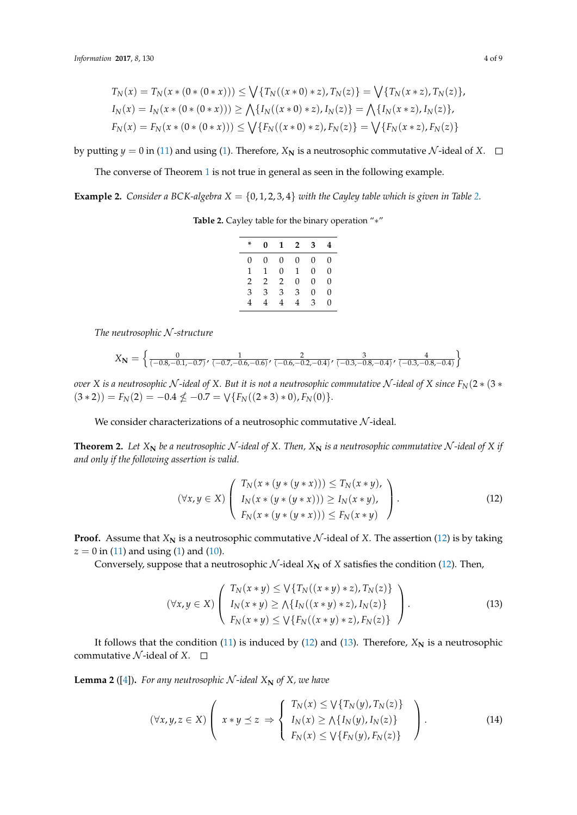$$
T_N(x) = T_N(x * (0 * (0 * x))) \le \bigvee \{T_N((x * 0) * z), T_N(z)\} = \bigvee \{T_N(x * z), T_N(z)\},
$$
  
\n
$$
I_N(x) = I_N(x * (0 * (0 * x))) \ge \bigwedge \{I_N((x * 0) * z), I_N(z)\} = \bigwedge \{I_N(x * z), I_N(z)\},
$$
  
\n
$$
F_N(x) = F_N(x * (0 * (0 * x))) \le \bigvee \{F_N((x * 0) * z), F_N(z)\} = \bigvee \{F_N(x * z), F_N(z)\}
$$

by putting  $y = 0$  in [\(11\)](#page-2-1) and using [\(1\)](#page-1-1). Therefore,  $X_N$  is a neutrosophic commutative  $N$ -ideal of  $X$ .  $\Box$ 

The converse of Theorem [1](#page-2-2) is not true in general as seen in the following example.

<span id="page-3-0"></span>**Example [2.](#page-3-0)** *Consider a BCK-algebra*  $X = \{0, 1, 2, 3, 4\}$  *with the Cayley table which is given in Table 2.* 

**Table 2.** Cayley table for the binary operation "∗"

| * | 0 | 1 | $\overline{2}$ | 3        | 4 |
|---|---|---|----------------|----------|---|
| 0 | 0 | 0 | 0              | 0        | 0 |
| 1 | 1 | 0 | 1              | $\Omega$ | 0 |
| 2 | 2 | 2 | 0              | $\Omega$ | 0 |
| 3 | 3 | 3 | 3              | $\Omega$ | 0 |
| 4 | 4 | 4 | 4              | 3        | 0 |

*The neutrosophic* N *-structure*

$$
X_{\mathbf{N}} = \left\{ \frac{0}{(-0.8, -0.1, -0.7)}, \frac{1}{(-0.7, -0.6, -0.6)}, \frac{2}{(-0.6, -0.2, -0.4)}, \frac{3}{(-0.3, -0.8, -0.4)}, \frac{4}{(-0.3, -0.8, -0.4)} \right\}
$$

*over X* is a neutrosophic N-ideal of *X*. But it is not a neutrosophic commutative N-ideal of *X* since  $F_N(2*(3*$  $(3 * 2)$ ) =  $F_N(2) = -0.4 \nleq -0.7 = \sqrt{F_N((2 * 3) * 0)}, F_N(0)$ .

We consider characterizations of a neutrosophic commutative  $N$ -ideal.

<span id="page-3-4"></span>**Theorem 2.** Let  $X_N$  be a neutrosophic N-ideal of X. Then,  $X_N$  is a neutrosophic commutative N-ideal of X if *and only if the following assertion is valid.*

<span id="page-3-1"></span>
$$
(\forall x, y \in X) \left( \begin{array}{c} T_N(x * (y * (y * x))) \le T_N(x * y), \\ I_N(x * (y * (y * x))) \ge I_N(x * y), \\ F_N(x * (y * (y * x))) \le F_N(x * y) \end{array} \right). \tag{12}
$$

**Proof.** Assume that  $X_N$  is a neutrosophic commutative  $N$ -ideal of  $X$ . The assertion [\(12\)](#page-3-1) is by taking  $z = 0$  in [\(11\)](#page-2-1) and using [\(1\)](#page-1-1) and [\(10\)](#page-2-3).

Conversely, suppose that a neutrosophic  $N$ -ideal  $X_N$  of  $X$  satisfies the condition [\(12\)](#page-3-1). Then,

<span id="page-3-2"></span>
$$
(\forall x, y \in X) \left( \begin{array}{c} T_N(x * y) \le \sqrt{T_N((x * y) * z)}, T_N(z) \\ I_N(x * y) \ge \sqrt{T_N((x * y) * z)}, I_N(z) \\ F_N(x * y) \le \sqrt{T_N((x * y) * z)}, F_N(z) \end{array} \right). \tag{13}
$$

It follows that the condition [\(11\)](#page-2-1) is induced by [\(12\)](#page-3-1) and [\(13\)](#page-3-2). Therefore,  $X_N$  is a neutrosophic commutative  $N$ -ideal of  $X$ .  $\square$ 

<span id="page-3-3"></span>**Lemma 2** ([\[4\]](#page-8-3)). For any neutrosophic  $N$ -ideal  $X_N$  of  $X$ , we have

$$
(\forall x, y, z \in X) \left( x \ast y \preceq z \Rightarrow \begin{cases} T_N(x) \leq \sqrt{T_N(y)}, T_N(z) \\ I_N(x) \geq \sqrt{T_N(y)}, I_N(z) \\ F_N(x) \leq \sqrt{T_N(y)}, F_N(z) \end{cases} \right). \tag{14}
$$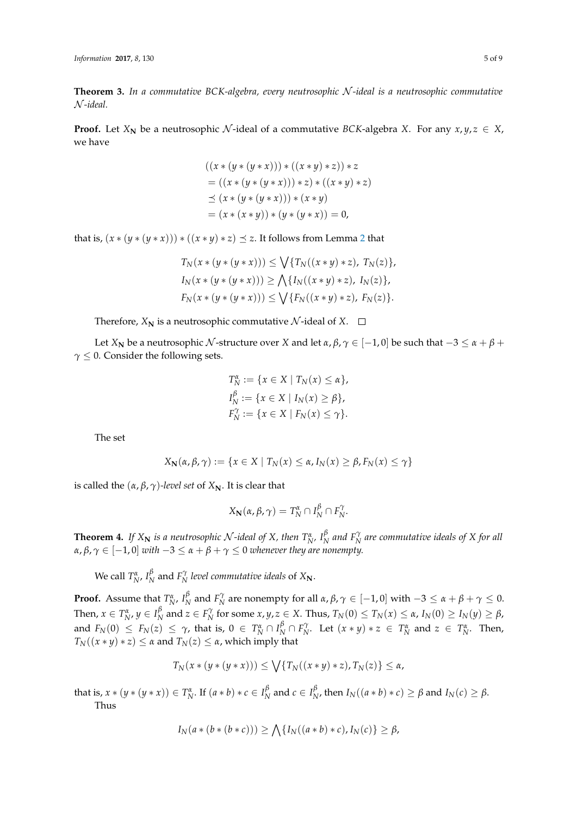**Theorem 3.** *In a commutative BCK-algebra, every neutrosophic* N *-ideal is a neutrosophic commutative* N *-ideal.*

**Proof.** Let  $X_N$  be a neutrosophic N-ideal of a commutative *BCK*-algebra *X*. For any  $x, y, z \in X$ , we have

$$
((x * (y * (y * x))) * ((x * y) * z)) * z
$$
  
= ((x \* (y \* (y \* x))) \* z) \* ((x \* y) \* z)  

$$
\preceq (x * (y * (y * x))) * (x * y)
$$
  
= (x \* (x \* y)) \* (y \* (y \* x)) = 0,

that is,  $(x * (y * (y * x))) * ((x * y) * z) \preceq z$ . It follows from Lemma [2](#page-3-3) that

$$
T_N(x * (y * (y * x))) \le \bigvee \{T_N((x * y) * z), T_N(z)\},
$$
  
\n
$$
I_N(x * (y * (y * x))) \ge \bigwedge \{I_N((x * y) * z), I_N(z)\},
$$
  
\n
$$
F_N(x * (y * (y * x))) \le \bigvee \{F_N((x * y) * z), F_N(z)\}.
$$

Therefore,  $X_N$  is a neutrosophic commutative  $N$ -ideal of  $X$ .  $\square$ 

Let *X***N** be a neutrosophic N-structure over *X* and let  $\alpha$ ,  $\beta$ ,  $\gamma \in [-1, 0]$  be such that  $-3 \le \alpha + \beta +$ *γ* ≤ 0. Consider the following sets.

$$
T_N^{\alpha} := \{ x \in X \mid T_N(x) \le \alpha \},
$$
  
\n
$$
I_N^{\beta} := \{ x \in X \mid I_N(x) \ge \beta \},
$$
  
\n
$$
F_N^{\gamma} := \{ x \in X \mid F_N(x) \le \gamma \}.
$$

The set

$$
X_{\mathbf{N}}(\alpha,\beta,\gamma) := \{x \in X \mid T_{N}(x) \leq \alpha, I_{N}(x) \geq \beta, F_{N}(x) \leq \gamma\}
$$

is called the  $(α, β, γ)$ *-level set* of  $X_N$ . It is clear that

$$
X_{\mathbf{N}}(\alpha,\beta,\gamma)=T_{N}^{\alpha}\cap I_{N}^{\beta}\cap F_{N}^{\gamma}.
$$

<span id="page-4-0"></span>**Theorem 4.** *If*  $X_N$  *is a neutrosophic*  $\mathcal{N}$ *-ideal of*  $X$ *, then*  $T_{N'}^{\alpha}$ ,  $I_N^{\beta}$  $^{p}_{N}$  and  $F^{\gamma}_{N}$  are commutative ideals of X for all  $\alpha$ ,  $\beta$ ,  $\gamma \in [-1,0]$  *with*  $-3 \leq \alpha + \beta + \gamma \leq 0$  *whenever they are nonempty.* 

We call  $T_N^{\alpha}$ ,  $I_N^{\beta}$  $N \atop N$  and  $F_N^{\gamma}$  level commutative ideals of  $X_N$ .

**Proof.** Assume that  $T_N^{\alpha}$ ,  $I_N^{\beta}$  $\frac{\beta}{N}$  and  $F_N^{\gamma}$  are nonempty for all *α*,  $\beta$ ,  $\gamma \in [-1, 0]$  with  $-3 \leq \alpha + \beta + \gamma \leq 0$ . Then,  $x \in T_N^{\alpha}$ ,  $y \in I_N^{\beta}$  $\frac{\beta}{N}$  and  $z \in F_N^{\gamma}$  for some  $x, y, z \in X$ . Thus,  $T_N(0) \leq T_N(x) \leq \alpha$ ,  $I_N(0) \geq I_N(y) \geq \beta$ , and  $F_N(0) \le F_N(z) \le \gamma$ , that is,  $0 \in T_N^{\alpha} \cap I_N^{\beta} \cap F_N^{\gamma}$ . Let  $(x * y) * z \in T_N^{\alpha}$  and  $z \in T_N^{\alpha}$ . Then,  $T_N((x * y) * z) \leq \alpha$  and  $T_N(z) \leq \alpha$ , which imply that

$$
T_N(x*(y*(y*x))) \le \bigvee \{T_N((x*y)*z), T_N(z)\} \le \alpha,
$$

that is,  $x * (y * (y * x)) \in T_N^{\alpha}$ . If  $(a * b) * c \in I_N^{\beta}$  $\frac{\beta}{N}$  and  $c \in I_{N}^{\beta}$  $N$ , then  $I_N((a * b) * c) \geq \beta$  and  $I_N(c) \geq \beta$ . Thus

$$
I_N(a * (b * (b * c))) \ge \bigwedge \{I_N((a * b) * c), I_N(c)\} \ge \beta,
$$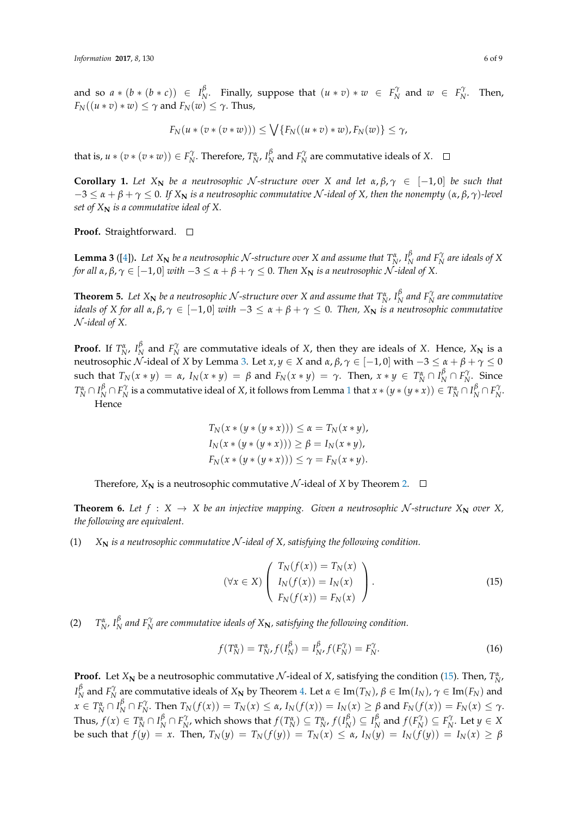and so  $a * (b * (b * c)) \in I^{\beta}_{N}$ *N N N C N N N C**C***<sub>***N***</sub>** *C**N**C**C***<sub>***N***</sub>** *C**C***<sub>***N***</sub>** *C**C***<sub>***N***</sub>** *C**C***<sub>***N***</sub>** *C**C**C***<sub>***N***</sub>** *C**C**C***<sub>***N***</sub>** *C**C**C***<sub>***N***</sub>** *C**C**C***<sub>***N***</sub>** *C**C**C***<sub>***N***</sub>** *C**C**C**C**C**C* $F_N((u * v) * w) \leq \gamma$  and  $F_N(w) \leq \gamma$ . Thus,

$$
F_N(u*(v*(v*w))) \le \bigvee \{F_N((u*v)*w), F_N(w)\} \le \gamma,
$$

that is,  $u * (v * (v * w)) \in F_N^{\gamma}$ . Therefore,  $T_N^{\alpha}$ ,  $I_N^{\beta}$  $N \nvert N \nvert N$  are commutative ideals of *X*.

**Corollary 1.** Let  $X_N$  be a neutrosophic N-structure over X and let  $\alpha, \beta, \gamma \in [-1, 0]$  be such that  $-3 \le \alpha + \beta + \gamma \le 0$ . If  $X_N$  is a neutrosophic commutative N-ideal of X, then the nonempty  $(\alpha, \beta, \gamma)$ -level *set of*  $X_N$  *is a commutative ideal of* X.

**Proof.** Straightforward. □

<span id="page-5-0"></span>**Lemma 3** ([\[4\]](#page-8-3)). Let  $X_N$  be a neutrosophic  $N$ -structure over  $X$  and assume that  $T_N^{\alpha}$ ,  $I_N^{\beta}$  $N \overline{P}_N^{\gamma}$  are ideals of X *for all*  $\alpha, \beta, \gamma \in [-1, 0]$  *with*  $-3 \le \alpha + \beta + \gamma \le 0$ . Then  $X_N$  *is a neutrosophic*  $\mathcal N$ -*ideal of* X.

<span id="page-5-3"></span>**Theorem 5.** Let  $X_N$  be a neutrosophic  $\mathcal N$ -structure over  $X$  and assume that  $T_{N'}^{\alpha}$ ,  $I_N^{\beta}$  $N \over N$  and  $F_N^\gamma$  are commutative *ideals of X for all*  $\alpha, \beta, \gamma \in [-1, 0]$  *with*  $-3 \leq \alpha + \beta + \gamma \leq 0$ . Then,  $X_N$  is a neutrosophic commutative N *-ideal of X.*

**Proof.** If  $T_N^{\alpha}$ ,  $I_N^{\beta}$ *N*<sup> $\beta$ </sup> and *F*<sup> $\gamma$ </sup> are commutative ideals of *X*, then they are ideals of *X*. Hence, *X*<sub>N</sub> is a neutrosophic *N*-ideal of *X* by Lemma [3.](#page-5-0) Let *x*, *y* ∈ *X* and *α*, *β*, *γ* ∈ [-1, 0] with  $-3 ≤ α + β + γ ≤ 0$ such that  $T_N(x * y) = \alpha$ ,  $I_N(x * y) = \beta$  and  $F_N(x * y) = \gamma$ . Then,  $x * y \in T_N^{\alpha} \cap I_N^{\beta} \cap F_{N}^{\gamma}$ . Since  $T_N^{\alpha}\cap I_N^{\beta}\cap F_N^{\gamma}$  is a commutative ideal of X, it follows from Lemma [1](#page-1-2) that  $x*(y*(y*x))\in T_N^{\alpha}\cap I_N^{\beta}\cap F_N^{\gamma}$ . Hence

$$
T_N(x * (y * (y * x))) \le \alpha = T_N(x * y),
$$
  
\n
$$
I_N(x * (y * (y * x))) \ge \beta = I_N(x * y),
$$
  
\n
$$
F_N(x * (y * (y * x))) \le \gamma = F_N(x * y).
$$

Therefore,  $X_N$  is a neutrosophic commutative N-ideal of X by Theorem [2.](#page-3-4)  $\Box$ 

**Theorem 6.** Let  $f : X \to X$  be an injective mapping. Given a neutrosophic N-structure  $X_N$  over  $X$ , *the following are equivalent.*

(1)  $X_N$  *is a neutrosophic commutative*  $N$ -ideal of  $X$ , satisfying the following condition.

<span id="page-5-1"></span>
$$
(\forall x \in X) \left( \begin{array}{c} T_N(f(x)) = T_N(x) \\ I_N(f(x)) = I_N(x) \\ F_N(f(x)) = F_N(x) \end{array} \right). \tag{15}
$$

(2)  $T_{N'}^{\alpha}$   $I_{N}^{\beta}$  and  $F_{N}^{\gamma}$  are commutative ideals of  $X_{N}$ *, satisfying the following condition.* 

<span id="page-5-2"></span>
$$
f(T_N^{\alpha}) = T_{N'}^{\alpha} f(I_N^{\beta}) = I_{N'}^{\beta} f(F_N^{\gamma}) = F_N^{\gamma}.
$$
 (16)

**Proof.** Let  $X_N$  be a neutrosophic commutative  $N$ -ideal of  $X$ , satisfying the condition [\(15\)](#page-5-1). Then,  $T_N^{\alpha}$ , *I β β N* and *F*<sup>γ</sup><sub>*N*</sub> are commutative ideals of *X*<sub>N</sub> by Theorem [4.](#page-4-0) Let *α* ∈ Im(*T<sub>N</sub>*),  $β$  ∈ Im(*I<sub>N</sub>*),  $γ$  ∈ Im(*F<sub>N</sub>*) and  $x \in T_N^{\alpha} \cap I_N^{\beta} \cap F_N^{\gamma}$ . Then  $T_N(f(x)) = T_N(x) \le \alpha$ ,  $I_N(f(x)) = I_N(x) \ge \beta$  and  $F_N(f(x)) = F_N(x) \le \gamma$ . Thus,  $f(x) \in T_N^{\alpha} \cap I_N^{\beta} \cap F_{N'}^{\gamma}$ , which shows that  $f(T_N^{\alpha}) \subseteq T_{N'}^{\alpha}$ ,  $f(I_N^{\beta})$  $\binom{\beta}{N} \subseteq I_{N}^{\beta}$  $\bigcap_{N}^{p}$  and  $f(F_{N}^{\gamma}) \subseteq F_{N}^{\gamma}$ . Let  $y \in X$ be such that  $f(y) = x$ . Then,  $T_N(y) = T_N(f(y)) = T_N(x) \le \alpha$ ,  $I_N(y) = I_N(f(y)) = I_N(x) \ge \beta$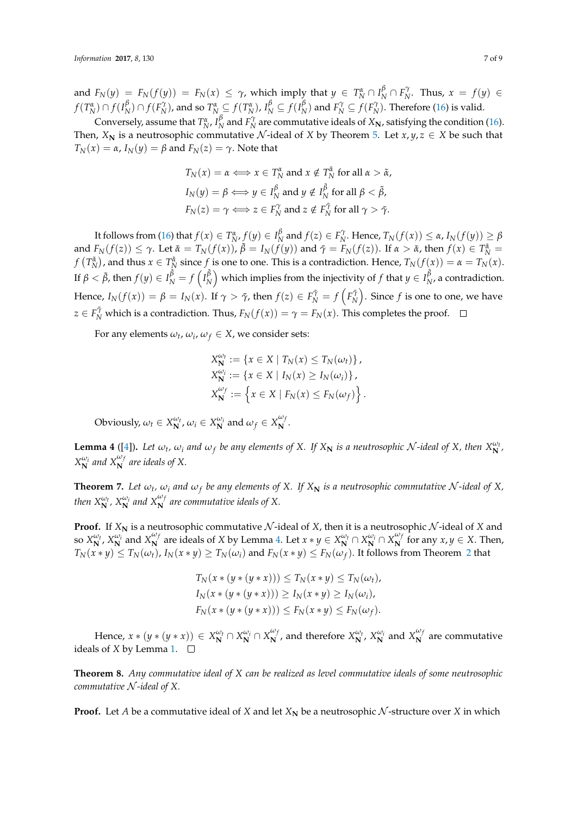and  $F_N(y) = F_N(f(y)) = F_N(x) \leq \gamma$ , which imply that  $y \in T_N^{\alpha} \cap I_N^{\beta} \cap F_N^{\gamma}$ . Thus,  $x = f(y) \in$  $f(T_N^{\alpha}) \cap f(I_N^{\beta})$  $\frac{\beta}{N}$ )  $\cap$   $f(F_N^{\gamma})$ , and so  $T_N^{\alpha} \subseteq f(T_N^{\alpha})$ ,  $I_N^{\beta} \subseteq f(I_N^{\beta})$  $N \choose N$  and  $F_N^{\gamma} \subseteq f(F_N^{\gamma})$ . Therefore [\(16\)](#page-5-2) is valid.

Conversely, assume that  $T_N^{\alpha}$ ,  $I_N^{\beta}$  $N \over N$  and  $F_N^{\gamma}$  are commutative ideals of  $X_N$ , satisfying the condition [\(16\)](#page-5-2). Then,  $X_N$  is a neutrosophic commutative N-ideal of X by Theorem [5.](#page-5-3) Let  $x, y, z \in X$  be such that  $T_N(x) = \alpha$ ,  $I_N(y) = \beta$  and  $F_N(z) = \gamma$ . Note that

$$
T_N(x) = \alpha \Longleftrightarrow x \in T_N^{\alpha} \text{ and } x \notin T_N^{\tilde{\alpha}} \text{ for all } \alpha > \tilde{\alpha},
$$
  
\n
$$
I_N(y) = \beta \Longleftrightarrow y \in I_N^{\beta} \text{ and } y \notin I_N^{\tilde{\beta}} \text{ for all } \beta < \tilde{\beta},
$$
  
\n
$$
F_N(z) = \gamma \Longleftrightarrow z \in F_N^{\gamma} \text{ and } z \notin F_N^{\tilde{\gamma}} \text{ for all } \gamma > \tilde{\gamma}.
$$

It follows from [\(16\)](#page-5-2) that  $f(x) \in T_{N}^{\alpha}$ ,  $f(y) \in I_{N}^{\beta}$  $\frac{\beta}{N}$  and  $f(z) \in F_N^{\gamma}$ . Hence,  $T_N(f(x)) \leq \alpha$ ,  $I_N(f(y)) \geq \beta$ and  $F_N(f(z)) \leq \gamma$ . Let  $\tilde{\alpha} = T_N(f(x))$ ,  $\tilde{\beta} = I_N(f(y))$  and  $\tilde{\gamma} = F_N(f(z))$ . If  $\alpha > \tilde{\alpha}$ , then  $f(x) \in T_N^{\tilde{\alpha}}$  $f(T_N^{\tilde{\alpha}})$ , and thus  $x \in T_N^{\tilde{\alpha}}$  since  $f$  is one to one. This is a contradiction. Hence,  $T_N(f(x)) = \alpha = T_N(x)$ . If  $\beta < \tilde{\beta}$ , then  $f(y) \in I_N^{\tilde{\beta}} = f\left(I_N^{\tilde{\beta}}\right)$  $\binom{\tilde{\beta}}{N}$  which implies from the injectivity of  $f$  that  $y\in I^{\tilde{\beta}}_N$  $N<sub>N</sub>$ , a contradiction. Hence,  $I_N(f(x)) = \beta = I_N(x)$ . If  $\gamma > \tilde{\gamma}$ , then  $f(z) \in F_N^{\tilde{\gamma}} = f\left(F_N^{\tilde{\gamma}}\right)$ . Since  $f$  is one to one, we have *z* ∈ *F*<sup> $\tilde{\gamma}$  which is a contradiction. Thus, *F*<sub>*N*</sub>(*f*(*x*)) =  $\gamma$  = *F*<sub>*N*</sub>(*x*). This completes the proof.</sup>

For any elements  $\omega_t$ ,  $\omega_i$ ,  $\omega_f \in X$ , we consider sets:

$$
X_{\mathbf{N}}^{\omega_t} := \{ x \in X \mid T_N(x) \le T_N(\omega_t) \},
$$
  
\n
$$
X_{\mathbf{N}}^{\omega_t} := \{ x \in X \mid I_N(x) \ge I_N(\omega_t) \},
$$
  
\n
$$
X_{\mathbf{N}}^{\omega_f} := \{ x \in X \mid F_N(x) \le F_N(\omega_f) \}.
$$

Obviously,  $\omega_t \in X_N^{\omega_t}$ ,  $\omega_i \in X_N^{\omega_i}$  and  $\omega_f \in X_N^{\omega_j}$  $\frac{N}{N}$ .

<span id="page-6-0"></span>**Lemma 4** ([\[4\]](#page-8-3)). Let  $\omega_t$ ,  $\omega_i$  and  $\omega_f$  be any elements of X. If  $X_N$  is a neutrosophic N-ideal of X, then  $X_N^{\omega_t}$  $X_{\mathbf{N}}^{\omega_i}$  and  $X_{\mathbf{N}}^{\omega_f}$  are ideals of X.

**Theorem 7.** Let  $\omega_t$ ,  $\omega_i$  and  $\omega_f$  be any elements of X. If  $X_N$  is a neutrosophic commutative  $N$ -ideal of  $X$ , *then*  $X_{\mathbf{N}}^{\omega_i}$ ,  $X_{\mathbf{N}}^{\omega_i}$  and  $X_{\mathbf{N}}^{\omega_f}$  are commutative ideals of X.

**Proof.** If  $X_N$  is a neutrosophic commutative  $N$ -ideal of  $X$ , then it is a neutrosophic  $N$ -ideal of  $X$  and so  $X_N^{\omega_t}$ ,  $X_N^{\omega_i}$  and  $X_N^{\omega_j}$  $\omega_f$  are ideals of *X* by Lemma [4.](#page-6-0) Let  $x * y \in X_N^{\omega_t} \cap X_N^{\omega_i} \cap X_N^{\omega_j}$  $\sum_{N}^{w_f}$  for any *x*, *y*  $\in$  *X*. Then,  $T_N(x*y)\leq T_N(\omega_t)$ ,  $I_N(x*y)\geq T_N(\omega_i)$  and  $F_N(x*y)\leq F_N(\omega_f).$  It follows from Theorem [2](#page-3-4) that

$$
T_N(x * (y * (y * x))) \leq T_N(x * y) \leq T_N(\omega_t),
$$
  
\n
$$
I_N(x * (y * (y * x))) \geq I_N(x * y) \geq I_N(\omega_i),
$$
  
\n
$$
F_N(x * (y * (y * x))) \leq F_N(x * y) \leq F_N(\omega_f).
$$

Hence,  $x * (y * (y * x)) \in X_N^{\omega_i} \cap X_N^{\omega_i} \cap X_N^{\omega_j}$  $\frac{w_f}{N}$ , and therefore  $X_N^{\omega_t}$ ,  $X_N^{\omega_i}$  and  $X_N^{\omega_j}$  $\boldsymbol{N}$  are commutative ideals of *X* by Lemma [1.](#page-1-2)  $\Box$ 

**Theorem 8.** *Any commutative ideal of X can be realized as level commutative ideals of some neutrosophic commutative* N *-ideal of X.*

**Proof.** Let *A* be a commutative ideal of *X* and let  $X_N$  be a neutrosophic  $N$ -structure over *X* in which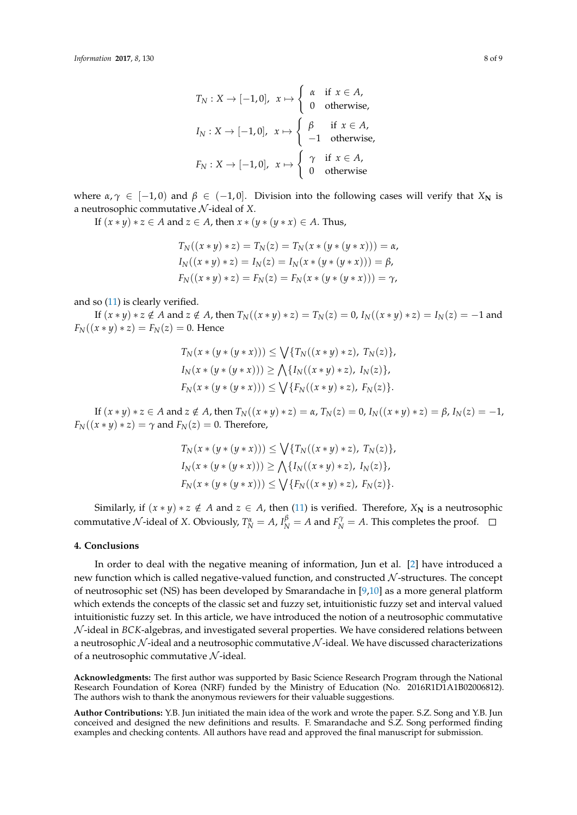$$
T_N: X \to [-1,0], \quad x \mapsto \begin{cases} \alpha & \text{if } x \in A, \\ 0 & \text{otherwise,} \end{cases}
$$

$$
I_N: X \to [-1,0], \quad x \mapsto \begin{cases} \beta & \text{if } x \in A, \\ -1 & \text{otherwise,} \end{cases}
$$

$$
F_N: X \to [-1,0], \quad x \mapsto \begin{cases} \gamma & \text{if } x \in A, \\ 0 & \text{otherwise.} \end{cases}
$$

where  $\alpha, \gamma \in [-1, 0]$  and  $\beta \in (-1, 0]$ . Division into the following cases will verify that  $X_N$  is a neutrosophic commutative N -ideal of *X*.

*If*  $(x * y) * z ∈ A$  and  $z ∈ A$ , then  $x * (y * (y * x) ∈ A$ . Thus,

$$
T_N((x * y) * z) = T_N(z) = T_N(x * (y * (y * x))) = \alpha,
$$
  
\n
$$
I_N((x * y) * z) = I_N(z) = I_N(x * (y * (y * x))) = \beta,
$$
  
\n
$$
F_N((x * y) * z) = F_N(z) = F_N(x * (y * (y * x))) = \gamma,
$$

and so [\(11\)](#page-2-1) is clearly verified.

If  $(x * y) * z \notin A$  and  $z \notin A$ , then  $T_N((x * y) * z) = T_N(z) = 0$ ,  $I_N((x * y) * z) = I_N(z) = -1$  and  $F_N((x * y) * z) = F_N(z) = 0$ . Hence

$$
T_N(x * (y * (y * x))) \le \bigvee \{T_N((x * y) * z), T_N(z)\},
$$
  
\n
$$
I_N(x * (y * (y * x))) \ge \bigwedge \{I_N((x * y) * z), I_N(z)\},
$$
  
\n
$$
F_N(x * (y * (y * x))) \le \bigvee \{F_N((x * y) * z), F_N(z)\}.
$$

If  $(x * y) * z \in A$  and  $z \notin A$ , then  $T_N((x * y) * z) = \alpha$ ,  $T_N(z) = 0$ ,  $I_N((x * y) * z) = \beta$ ,  $I_N(z) = -1$ ,  $F_N((x * y) * z) = \gamma$  and  $F_N(z) = 0$ . Therefore,

$$
T_N(x * (y * (y * x))) \le \bigvee \{T_N((x * y) * z), T_N(z)\},
$$
  
\n
$$
I_N(x * (y * (y * x))) \ge \bigwedge \{I_N((x * y) * z), I_N(z)\},
$$
  
\n
$$
F_N(x * (y * (y * x))) \le \bigvee \{F_N((x * y) * z), F_N(z)\}.
$$

Similarly, if  $(x * y) * z \notin A$  and  $z \in A$ , then [\(11\)](#page-2-1) is verified. Therefore,  $X_N$  is a neutrosophic commutative  $N$ -ideal of  $X$ . Obviously,  $T_N^{\alpha} = A$ ,  $I_N^{\beta} = A$  and  $F_N^{\gamma} = A$ . This completes the proof.

#### **4. Conclusions**

In order to deal with the negative meaning of information, Jun et al. [\[2\]](#page-8-1) have introduced a new function which is called negative-valued function, and constructed  $N$ -structures. The concept of neutrosophic set (NS) has been developed by Smarandache in [\[9,](#page-8-8)[10\]](#page-8-9) as a more general platform which extends the concepts of the classic set and fuzzy set, intuitionistic fuzzy set and interval valued intuitionistic fuzzy set. In this article, we have introduced the notion of a neutrosophic commutative N -ideal in *BCK*-algebras, and investigated several properties. We have considered relations between a neutrosophic  $\mathcal N$ -ideal and a neutrosophic commutative  $\mathcal N$ -ideal. We have discussed characterizations of a neutrosophic commutative  $N$ -ideal.

**Acknowledgments:** The first author was supported by Basic Science Research Program through the National Research Foundation of Korea (NRF) funded by the Ministry of Education (No. 2016R1D1A1B02006812). The authors wish to thank the anonymous reviewers for their valuable suggestions.

**Author Contributions:** Y.B. Jun initiated the main idea of the work and wrote the paper. S.Z. Song and Y.B. Jun conceived and designed the new definitions and results. F. Smarandache and S.Z. Song performed finding examples and checking contents. All authors have read and approved the final manuscript for submission.